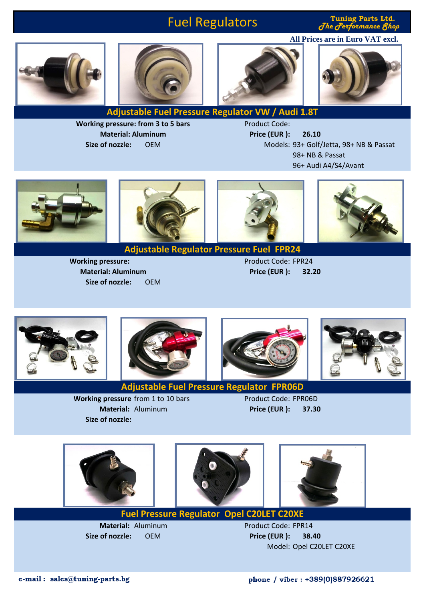## Fuel Regulators

 $J$ he  ${\it J}$ erformance  ${\it 8}$ h **All Prices are in Euro VAT excl.**

**Tuning Parts Ltd.**







**Adjustable Fuel Pressure Regulator VW / Audi 1.8T**

**Working pressure: from 3 to 5 bars Material: Aluminum**

Product Code: **Price (EUR ): 26.10** Size of nozzle: OEM **Models: 93+ Golf/Jetta, 98+ NB & Passat** 98+ NB & Passat 96+ Audi A4/S4/Avant





**Adjustable Regulator Pressure Fuel FPR24**

**Working pressure:**  $\blacksquare$ **Price (EUR ): 32.20**











**Adjustable Fuel Pressure Regulator FPR06D**

**Working pressure** from 1 to 10 bars Product Code: FPR06D **Material:** Aluminum **Price (EUR ): 37.30 Size of nozzle:**

**Size of nozzle:** OEM

**Material: Aluminum**







**Fuel Pressure Regulator Opel C20LET C20XE**

**Size of nozzle:** OEM **Price (EUR ): 38.40**

**Material: Aluminum Product Code: FPR14** Model: Opel C20LET C20XE